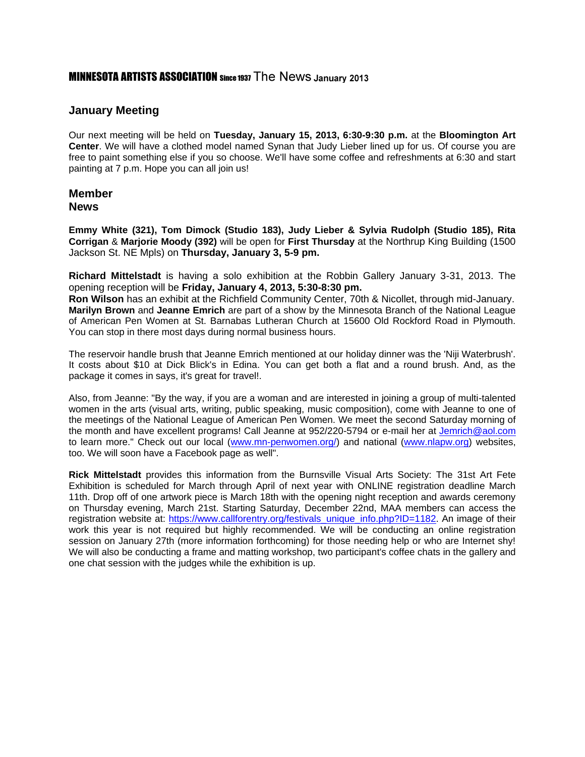# **MINNESOTA ARTISTS ASSOCIATION** Since 1937 The News January 2013

# **January Meeting**

Our next meeting will be held on **Tuesday, January 15, 2013, 6:30-9:30 p.m.** at the **Bloomington Art Center**. We will have a clothed model named Synan that Judy Lieber lined up for us. Of course you are free to paint something else if you so choose. We'll have some coffee and refreshments at 6:30 and start painting at 7 p.m. Hope you can all join us!

### **Member News**

**Emmy White (321), Tom Dimock (Studio 183), Judy Lieber & Sylvia Rudolph (Studio 185), Rita Corrigan** & **Marjorie Moody (392)** will be open for **First Thursday** at the Northrup King Building (1500 Jackson St. NE Mpls) on **Thursday, January 3, 5-9 pm.**

**Richard Mittelstadt** is having a solo exhibition at the Robbin Gallery January 3-31, 2013. The opening reception will be **Friday, January 4, 2013, 5:30-8:30 pm.** 

**Ron Wilson** has an exhibit at the Richfield Community Center, 70th & Nicollet, through mid-January. **Marilyn Brown** and **Jeanne Emrich** are part of a show by the Minnesota Branch of the National League of American Pen Women at St. Barnabas Lutheran Church at 15600 Old Rockford Road in Plymouth. You can stop in there most days during normal business hours.

The reservoir handle brush that Jeanne Emrich mentioned at our holiday dinner was the 'Niji Waterbrush'. It costs about \$10 at Dick Blick's in Edina. You can get both a flat and a round brush. And, as the package it comes in says, it's great for travel!.

Also, from Jeanne: "By the way, if you are a woman and are interested in joining a group of multi-talented women in the arts (visual arts, writing, public speaking, music composition), come with Jeanne to one of the meetings of the National League of American Pen Women. We meet the second Saturday morning of the month and have excellent programs! Call Jeanne at 952/220-5794 or e-mail her at [Jemrich@aol.com](mailto:Jemrich@aol.com) to learn more." Check out our local [\(www.mn-penwomen.org/\)](http://www.mn-penwomen.org/) and national [\(www.nlapw.org\)](http://www.nlapw.org/) websites, too. We will soon have a Facebook page as well".

**Rick Mittelstadt** provides this information from the Burnsville Visual Arts Society: The 31st Art Fete Exhibition is scheduled for March through April of next year with ONLINE registration deadline March 11th. Drop off of one artwork piece is March 18th with the opening night reception and awards ceremony on Thursday evening, March 21st. Starting Saturday, December 22nd, MAA members can access the registration website at: [https://www.callforentry.org/festivals\\_unique\\_info.php?ID=1182.](https://www.callforentry.org/festivals_unique_info.php?ID=1182) An image of their work this year is not required but highly recommended. We will be conducting an online registration session on January 27th (more information forthcoming) for those needing help or who are Internet shy! We will also be conducting a frame and matting workshop, two participant's coffee chats in the gallery and one chat session with the judges while the exhibition is up.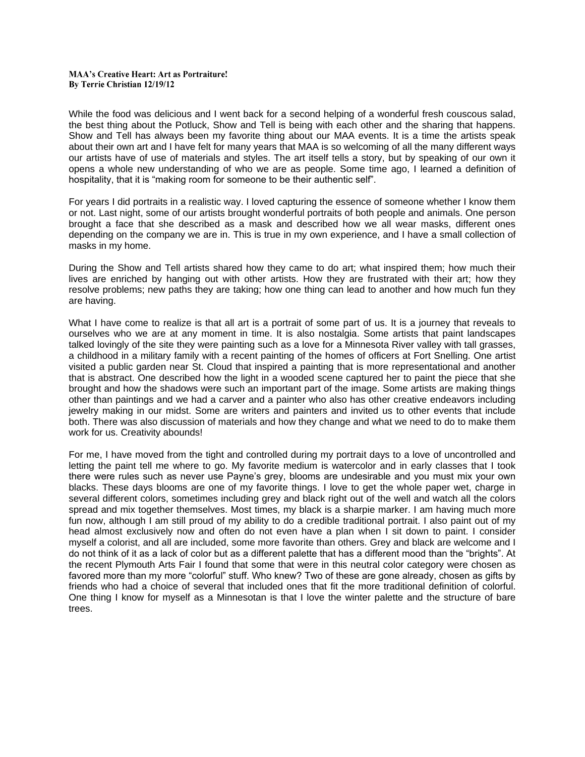#### **MAA's Creative Heart: Art as Portraiture!** By Terrie Christian 12/19/12

While the food was delicious and I went back for a second helping of a wonderful fresh couscous salad, the best thing about the Potluck, Show and Tell is being with each other and the sharing that happens. Show and Tell has always been my favorite thing about our MAA events. It is a time the artists speak about their own art and I have felt for many years that MAA is so welcoming of all the many different ways our artists have of use of materials and styles. The art itself tells a story, but by speaking of our own it opens a whole new understanding of who we are as people. Some time ago, I learned a definition of hospitality, that it is "making room for someone to be their authentic self".

For years I did portraits in a realistic way. I loved capturing the essence of someone whether I know them or not. Last night, some of our artists brought wonderful portraits of both people and animals. One person brought a face that she described as a mask and described how we all wear masks, different ones depending on the company we are in. This is true in my own experience, and I have a small collection of masks in my home.

During the Show and Tell artists shared how they came to do art; what inspired them; how much their lives are enriched by hanging out with other artists. How they are frustrated with their art; how they resolve problems; new paths they are taking; how one thing can lead to another and how much fun they are having.

What I have come to realize is that all art is a portrait of some part of us. It is a journey that reveals to ourselves who we are at any moment in time. It is also nostalgia. Some artists that paint landscapes talked lovingly of the site they were painting such as a love for a Minnesota River valley with tall grasses, a childhood in a military family with a recent painting of the homes of officers at Fort Snelling. One artist visited a public garden near St. Cloud that inspired a painting that is more representational and another that is abstract. One described how the light in a wooded scene captured her to paint the piece that she brought and how the shadows were such an important part of the image. Some artists are making things other than paintings and we had a carver and a painter who also has other creative endeavors including jewelry making in our midst. Some are writers and painters and invited us to other events that include both. There was also discussion of materials and how they change and what we need to do to make them work for us. Creativity abounds!

For me, I have moved from the tight and controlled during my portrait days to a love of uncontrolled and letting the paint tell me where to go. My favorite medium is watercolor and in early classes that I took there were rules such as never use Payne's grey, blooms are undesirable and you must mix your own blacks. These days blooms are one of my favorite things. I love to get the whole paper wet, charge in several different colors, sometimes including grey and black right out of the well and watch all the colors spread and mix together themselves. Most times, my black is a sharpie marker. I am having much more fun now, although I am still proud of my ability to do a credible traditional portrait. I also paint out of my head almost exclusively now and often do not even have a plan when I sit down to paint. I consider myself a colorist, and all are included, some more favorite than others. Grey and black are welcome and I do not think of it as a lack of color but as a different palette that has a different mood than the "brights". At the recent Plymouth Arts Fair I found that some that were in this neutral color category were chosen as favored more than my more "colorful" stuff. Who knew? Two of these are gone already, chosen as gifts by friends who had a choice of several that included ones that fit the more traditional definition of colorful. One thing I know for myself as a Minnesotan is that I love the winter palette and the structure of bare trees.